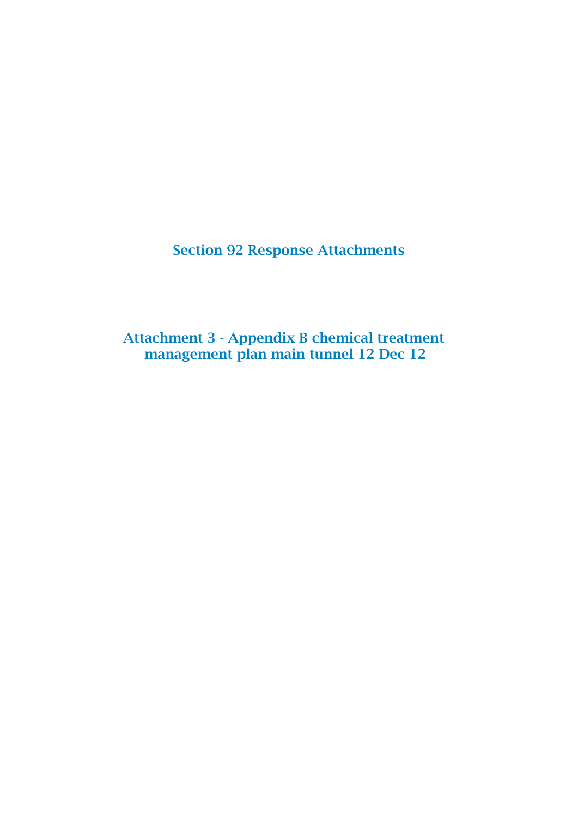Section 92 Response Attachments

Attachment 3 - Appendix B chemical treatment management plan main tunnel 12 Dec 12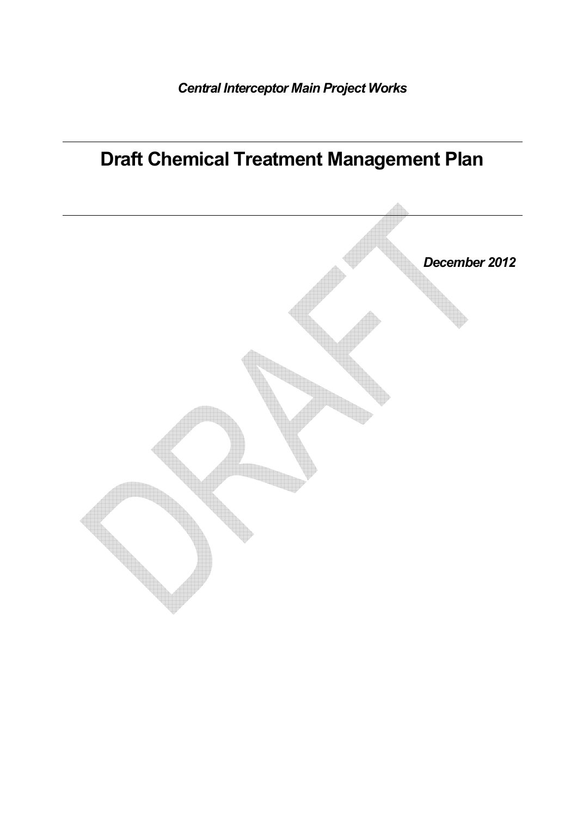# Draft Chemical Treatment Management Plan

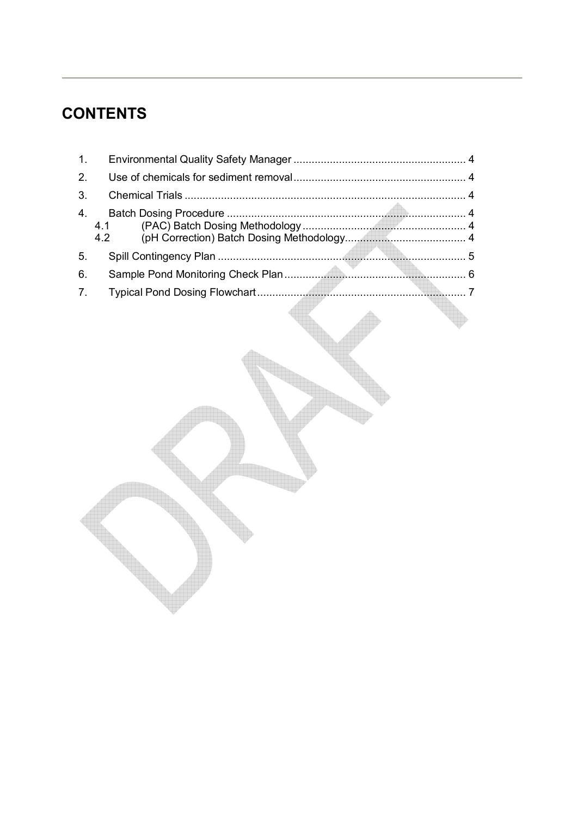# **CONTENTS**

| 1.                           |  |
|------------------------------|--|
| 2.                           |  |
| 3.                           |  |
| 4 <sub>1</sub><br>4.1<br>4.2 |  |
| 5.                           |  |
| 6.                           |  |
| 7.                           |  |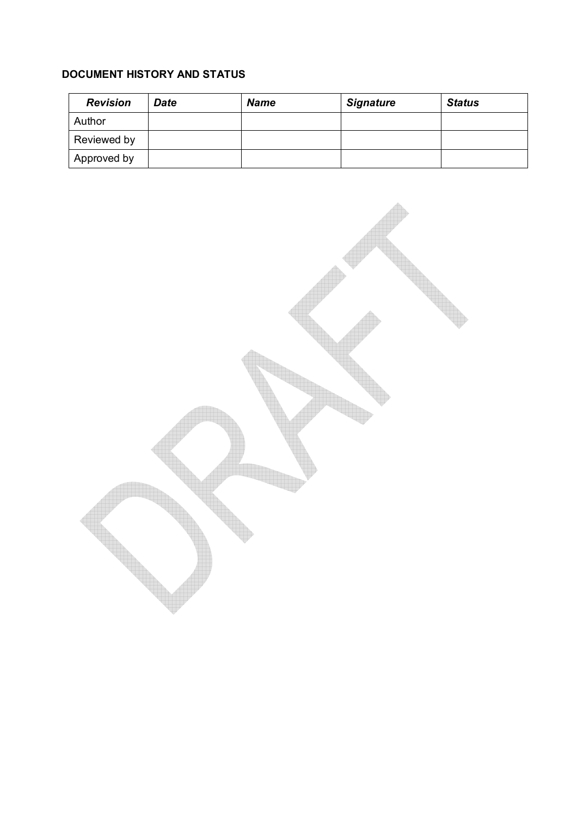#### DOCUMENT HISTORY AND STATUS

| <b>Revision</b> | Date | <b>Name</b> | <b>Signature</b> | <b>Status</b> |
|-----------------|------|-------------|------------------|---------------|
| Author          |      |             |                  |               |
| Reviewed by     |      |             |                  |               |
| Approved by     |      |             |                  |               |

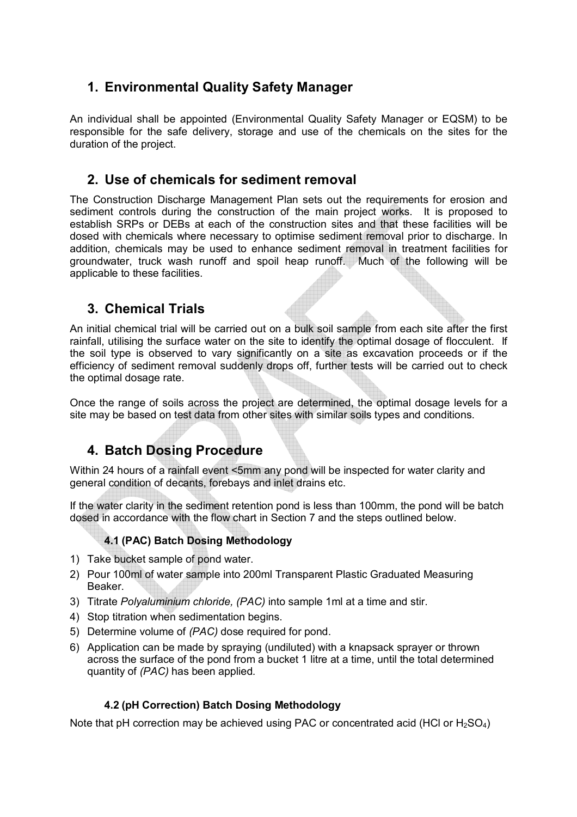### 1. Environmental Quality Safety Manager

An individual shall be appointed (Environmental Quality Safety Manager or EQSM) to be responsible for the safe delivery, storage and use of the chemicals on the sites for the duration of the project.

#### 2. Use of chemicals for sediment removal

The Construction Discharge Management Plan sets out the requirements for erosion and sediment controls during the construction of the main project works. It is proposed to establish SRPs or DEBs at each of the construction sites and that these facilities will be dosed with chemicals where necessary to optimise sediment removal prior to discharge. In addition, chemicals may be used to enhance sediment removal in treatment facilities for groundwater, truck wash runoff and spoil heap runoff. Much of the following will be applicable to these facilities.

### 3. Chemical Trials

An initial chemical trial will be carried out on a bulk soil sample from each site after the first rainfall, utilising the surface water on the site to identify the optimal dosage of flocculent. If the soil type is observed to vary significantly on a site as excavation proceeds or if the efficiency of sediment removal suddenly drops off, further tests will be carried out to check the optimal dosage rate.

Once the range of soils across the project are determined, the optimal dosage levels for a site may be based on test data from other sites with similar soils types and conditions.

#### 4. Batch Dosing Procedure

Within 24 hours of a rainfall event <5mm any pond will be inspected for water clarity and general condition of decants, forebays and inlet drains etc.

If the water clarity in the sediment retention pond is less than 100mm, the pond will be batch dosed in accordance with the flow chart in Section 7 and the steps outlined below.

#### 4.1 (PAC) Batch Dosing Methodology

- 1) Take bucket sample of pond water.
- 2) Pour 100ml of water sample into 200ml Transparent Plastic Graduated Measuring Beaker.
- 3) Titrate Polyaluminium chloride, (PAC) into sample 1ml at a time and stir.
- 4) Stop titration when sedimentation begins.
- 5) Determine volume of (PAC) dose required for pond.
- 6) Application can be made by spraying (undiluted) with a knapsack sprayer or thrown across the surface of the pond from a bucket 1 litre at a time, until the total determined quantity of (PAC) has been applied.

#### 4.2 (pH Correction) Batch Dosing Methodology

Note that pH correction may be achieved using PAC or concentrated acid (HCl or  $H_2SO_4$ )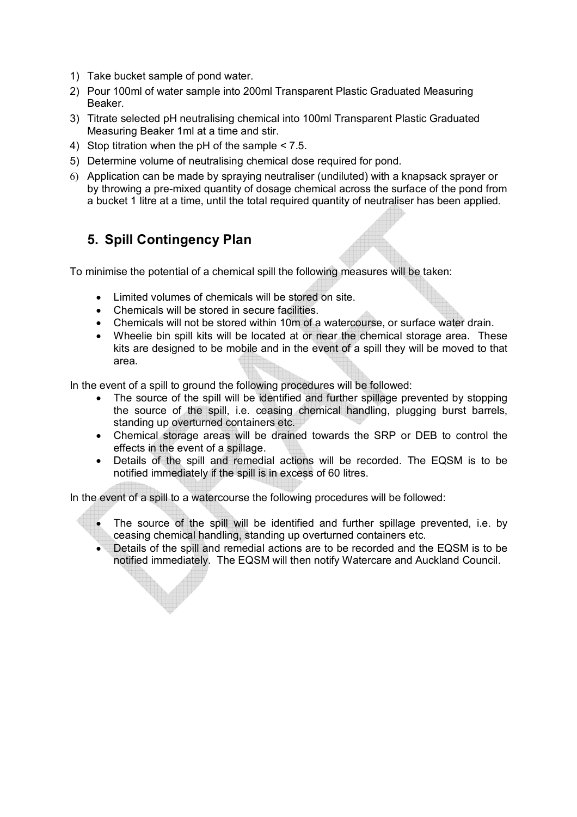- 1) Take bucket sample of pond water.
- 2) Pour 100ml of water sample into 200ml Transparent Plastic Graduated Measuring Beaker.
- 3) Titrate selected pH neutralising chemical into 100ml Transparent Plastic Graduated Measuring Beaker 1ml at a time and stir.
- 4) Stop titration when the pH of the sample < 7.5.
- 5) Determine volume of neutralising chemical dose required for pond.
- 6) Application can be made by spraying neutraliser (undiluted) with a knapsack sprayer or by throwing a pre-mixed quantity of dosage chemical across the surface of the pond from a bucket 1 litre at a time, until the total required quantity of neutraliser has been applied.

### 5. Spill Contingency Plan

To minimise the potential of a chemical spill the following measures will be taken:

- Limited volumes of chemicals will be stored on site.
- Chemicals will be stored in secure facilities.
- Chemicals will not be stored within 10m of a watercourse, or surface water drain.
- Wheelie bin spill kits will be located at or near the chemical storage area. These kits are designed to be mobile and in the event of a spill they will be moved to that area.

In the event of a spill to ground the following procedures will be followed:

- The source of the spill will be identified and further spillage prevented by stopping the source of the spill, i.e. ceasing chemical handling, plugging burst barrels, standing up overturned containers etc.
- Chemical storage areas will be drained towards the SRP or DEB to control the effects in the event of a spillage.
- Details of the spill and remedial actions will be recorded. The EQSM is to be notified immediately if the spill is in excess of 60 litres.

In the event of a spill to a watercourse the following procedures will be followed:

- The source of the spill will be identified and further spillage prevented, i.e. by ceasing chemical handling, standing up overturned containers etc.
- Details of the spill and remedial actions are to be recorded and the EQSM is to be notified immediately. The EQSM will then notify Watercare and Auckland Council.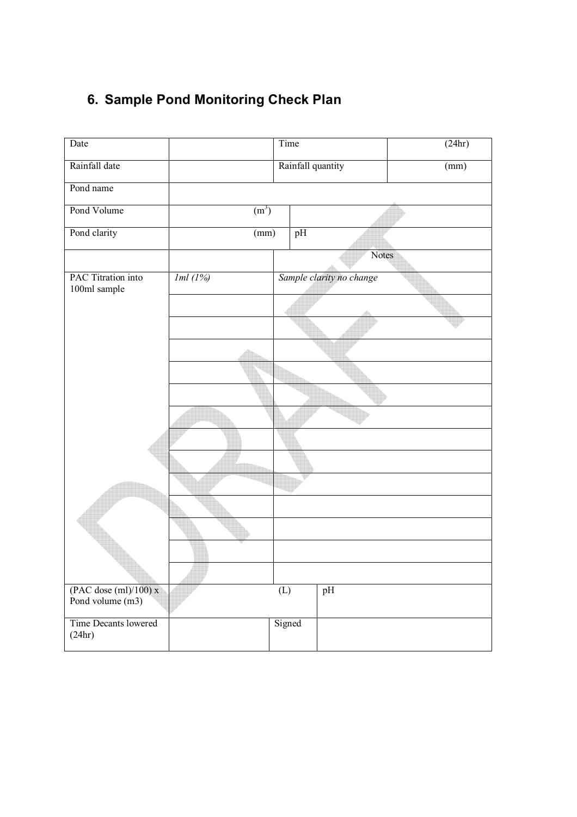## 6. Sample Pond Monitoring Check Plan

| Date                                           | Time              |                           |        |       | $\sqrt{(24hr)}$ |  |
|------------------------------------------------|-------------------|---------------------------|--------|-------|-----------------|--|
| Rainfall date                                  | Rainfall quantity |                           |        |       | (mm)            |  |
| Pond name                                      |                   |                           |        |       |                 |  |
| Pond Volume                                    | (m <sup>3</sup> ) |                           |        |       |                 |  |
| Pond clarity                                   | (mm)              |                           | pH     |       |                 |  |
|                                                |                   |                           |        | Notes |                 |  |
| PAC Titration into<br>100ml sample             | Iml(1%)           | Sample clarity no change  |        |       |                 |  |
|                                                |                   |                           |        |       |                 |  |
|                                                |                   |                           |        |       |                 |  |
|                                                |                   |                           |        |       |                 |  |
|                                                |                   |                           |        |       |                 |  |
|                                                |                   |                           |        |       |                 |  |
|                                                |                   |                           |        |       |                 |  |
|                                                |                   |                           |        |       |                 |  |
|                                                |                   |                           |        |       |                 |  |
|                                                |                   |                           |        |       |                 |  |
|                                                |                   |                           |        |       |                 |  |
|                                                |                   |                           |        |       |                 |  |
|                                                |                   |                           |        |       |                 |  |
|                                                |                   |                           |        |       |                 |  |
| $(PAC$ dose $(ml)/100$ ) x<br>Pond volume (m3) |                   | $\overline{(\mathbf{L})}$ |        | pH    |                 |  |
| Time Decants lowered<br>(24hr)                 |                   |                           | Signed |       |                 |  |